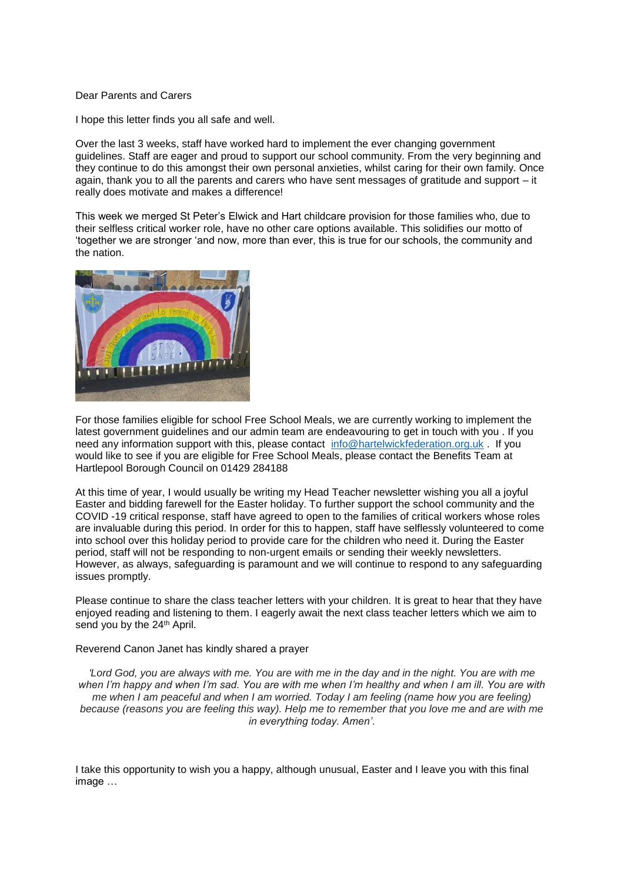## Dear Parents and Carers

I hope this letter finds you all safe and well.

Over the last 3 weeks, staff have worked hard to implement the ever changing government guidelines. Staff are eager and proud to support our school community. From the very beginning and they continue to do this amongst their own personal anxieties, whilst caring for their own family. Once again, thank you to all the parents and carers who have sent messages of gratitude and support – it really does motivate and makes a difference!

This week we merged St Peter's Elwick and Hart childcare provision for those families who, due to their selfless critical worker role, have no other care options available. This solidifies our motto of 'together we are stronger 'and now, more than ever, this is true for our schools, the community and the nation.



For those families eligible for school Free School Meals, we are currently working to implement the latest government guidelines and our admin team are endeavouring to get in touch with you . If you need any information support with this, please contact [info@hartelwickfederation.org.uk](mailto:info@hartelwickfederation.org.uk) . If you would like to see if you are eligible for Free School Meals, please contact the Benefits Team at Hartlepool Borough Council on 01429 284188

At this time of year, I would usually be writing my Head Teacher newsletter wishing you all a joyful Easter and bidding farewell for the Easter holiday. To further support the school community and the COVID -19 critical response, staff have agreed to open to the families of critical workers whose roles are invaluable during this period. In order for this to happen, staff have selflessly volunteered to come into school over this holiday period to provide care for the children who need it. During the Easter period, staff will not be responding to non-urgent emails or sending their weekly newsletters. However, as always, safeguarding is paramount and we will continue to respond to any safeguarding issues promptly.

Please continue to share the class teacher letters with your children. It is great to hear that they have enjoyed reading and listening to them. I eagerly await the next class teacher letters which we aim to send you by the 24<sup>th</sup> April.

Reverend Canon Janet has kindly shared a prayer

*'Lord God, you are always with me. You are with me in the day and in the night. You are with me when I'm happy and when I'm sad. You are with me when I'm healthy and when I am ill. You are with me when I am peaceful and when I am worried. Today I am feeling (name how you are feeling) because (reasons you are feeling this way). Help me to remember that you love me and are with me in everything today. Amen'*.

I take this opportunity to wish you a happy, although unusual, Easter and I leave you with this final image …